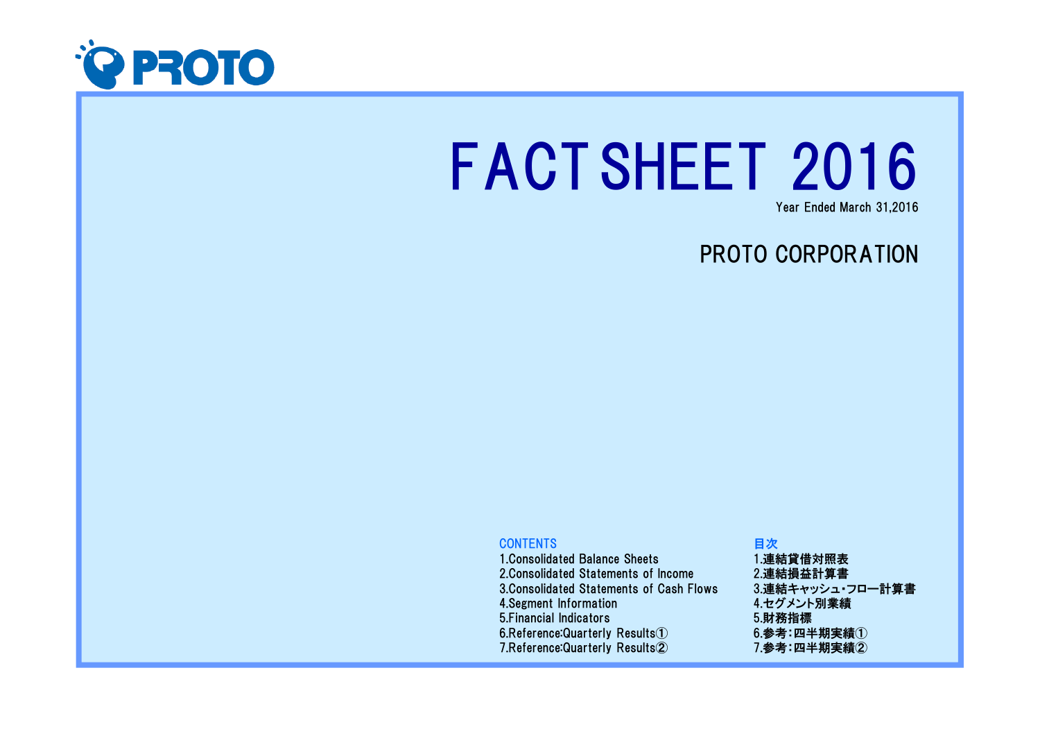

# FACTSHEET 2016

Year Ended March 31,2016

# PROTO CORPORATION

### **CONTENTS**

 1.Consolidated Balance Sheets 2.Consolidated Statements of Income 3.Consolidated Statements of Cash Flows4.Segment Information 5.Financial Indicators6.Reference:Quarterly Results $\rm \Omega$ 7.Reference:Quarterly Results②

## 目次 1.連結貸借対照表 2.連結損益計算書 3.連結キャッシュ・フロー計算書4.セグメント別業績5.財務指標 $6.$ 参考:四半期実績 $(1)$ 7.参考:四半期実績②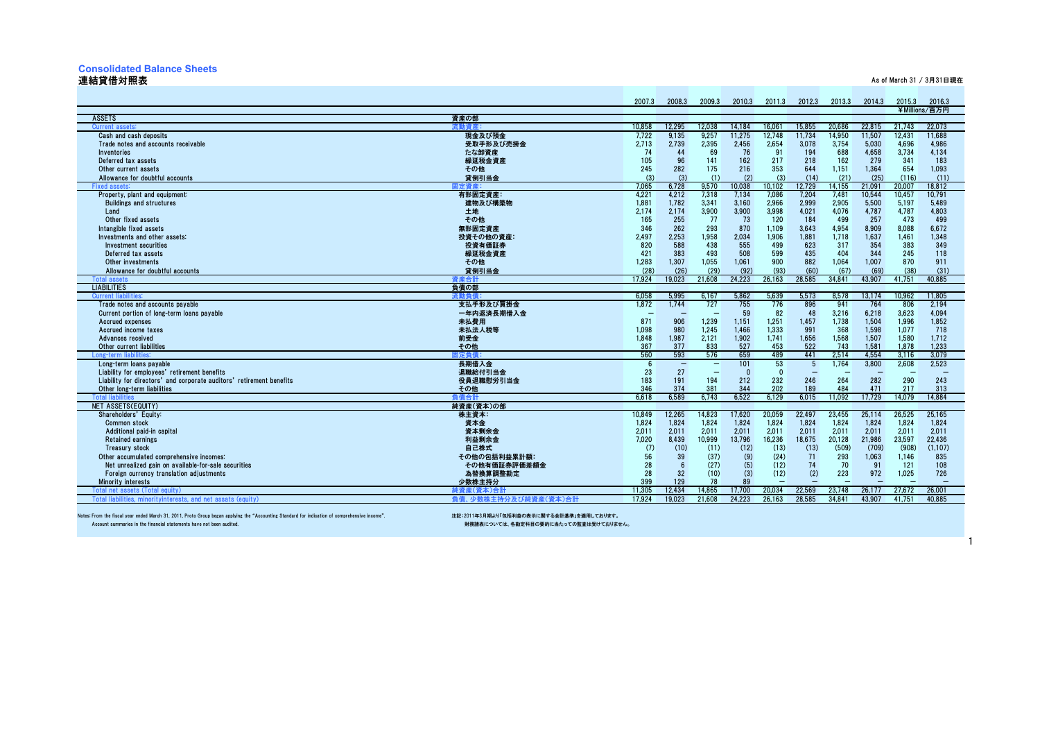#### **Consolidated Balance Sheets**

#### 連結貸借対照表

人,我们也不会在这里的人,我们也不会在这里的人,我们也不会在这里的人,我们也不会在这里的人,我们也不会在这里的人,我们也不会在这里的人,我们也不会在这里的人,我<br>第2011章 我们也不会在这里的人,我们也不会在这里的人,我们也不会在这里的人,我们也不会在这里的人,我们也不会在这里的人,我们也不会在这里的人,我们也不会在这

|                                                                         |                      | 2007.3     | 2008.3                   | 2009.3                   | 2010.3     | 2011.3          | 2012.3            | 2013.3        | 2014.3                   | 2015.3       | 2016.3        |
|-------------------------------------------------------------------------|----------------------|------------|--------------------------|--------------------------|------------|-----------------|-------------------|---------------|--------------------------|--------------|---------------|
|                                                                         |                      |            |                          |                          |            |                 |                   |               |                          |              | ¥Millions/百万円 |
| <b>ASSETS</b>                                                           | 資産の部                 | 10.858     | 12.295                   | 12.038                   | 14.184     | 16.061          | 15.855            | 20.686        | 22.815                   | 21.743       | 22.073        |
| Current<br>Cash and cash deposits                                       | 現金及び預金               |            | 9.135                    | 9,257                    |            |                 |                   | 14,950        | 11.507                   | 12.431       | 11.688        |
|                                                                         | 受取手形及び売掛金            | 7,722      | 2.739                    | 2,395                    | 11,275     | 12,748<br>2,654 | 11,734            | 3,754         |                          | 4.696        | 4.986         |
| Trade notes and accounts receivable                                     |                      | 2,713      |                          |                          | 2,456      |                 | 3,078             |               | 5,030                    |              |               |
| <b>Inventories</b>                                                      | たな卸資産                | 74         | 44<br>96                 | 69<br>141                | 76         | 91<br>217       | 194               | 688<br>162    | 4,658<br>279             | 3,734<br>341 | 4,134<br>183  |
| Deferred tax assets                                                     | 繰延税金資産               | 105        |                          | 175                      | 162        |                 | 218               |               |                          |              |               |
| Other current assets                                                    | その他<br>貸倒引当金         | 245<br>(3) | 282<br>(3)               | (1)                      | 216<br>(2) | 353<br>(3)      | 644<br>(14)       | 1,151<br>(21) | 1,364<br>(25)            | 654<br>(116) | 1,093<br>(11) |
| Allowance for doubtful accounts                                         |                      | 7.065      | 6.728                    |                          | 10.038     | 10.102          | 12.729            | 14.155        | 21.091                   | 20.007       | 18.812        |
| Fixed assets:<br>Property, plant and equipment:                         | 記定 資産:<br>有形固定資産:    | 4,221      | 4,212                    | 9,570<br>7,318           | 7,134      | 7,086           | 7,204             | 7,481         | 10,544                   | 10,457       | 10,791        |
| <b>Buildings and structures</b>                                         | 建物及び構築物              | 1.881      | 1.782                    | 3,341                    | 3.160      | 2.966           | 2.999             | 2.905         | 5.500                    | 5.197        | 5.489         |
| Land                                                                    | 土地                   | 2,174      | 2,174                    | 3,900                    | 3,900      | 3.998           | 4,021             | 4,076         | 4,787                    | 4,787        | 4.803         |
| Other fixed assets                                                      | その他                  | 165        | 255                      | 77                       | 73         | 120             | 184               | 499           | 257                      | 473          | 499           |
| Intangible fixed assets                                                 | 無形固定資産               | 346        | 262                      | 293                      | 870        | 1.109           | 3.643             | 4.954         | 8.909                    | 8,088        | 6.672         |
| Investments and other assets:                                           | 投資その他の資産:            | 2.497      | 2.253                    | 1,958                    | 2,034      | 1.906           | 1.881             | 1,718         | 1,637                    | 1,461        | 1.348         |
| Investment securities                                                   | 投資有価証券               | 820        | 588                      | 438                      | 555        | 499             | 623               | 317           | 354                      | 383          | 349           |
| Deferred tax assets                                                     | 繰延税金資産               | 421        | 383                      | 493                      | 508        | 599             | 435               | 404           | 344                      | 245          | 118           |
| Other investments                                                       | その他                  | 1,283      | 1.307                    | 1,055                    | 1,061      | 900             | 882               | 1.064         | 1.007                    | 870          | 911           |
| Allowance for doubtful accounts                                         | 貸倒引当金                | (28)       | (26)                     | (29)                     | (92)       | (93)            | (60)              | (67)          | (69)                     | (38)         | (31)          |
| <b>Total asset</b>                                                      | 「産合計                 | 17.924     | 19.023                   | 21.608                   | 24.223     | 26.163          | 28.585            | 34.841        | 43.907                   | 41.751       | 40.885        |
| <b>LIABILITIES</b>                                                      | 負債の部                 |            |                          |                          |            |                 |                   |               |                          |              |               |
| <b>Current liabi</b>                                                    | 充動負信                 | 6,058      | 5,995                    | 6.167                    | 5,862      | 5,639           | 5,573             | 8,578         | 13,174                   | 10,962       | 11,805        |
| Trade notes and accounts pavable                                        | 支払手形及び買掛金            | 1.872      | 1.744                    | 727                      | 755        | 776             | 896               | 941           | 764                      | 806          | 2.194         |
| Current portion of long-term loans payable                              | 一年内返済長期借入金           | $\sim$     | $\overline{\phantom{0}}$ |                          | 59         | 82              | 48                | 3,216         | 6,218                    | 3.623        | 4.094         |
| Accrued expenses                                                        | 未払費用                 | 871        | 906                      | 1,239                    | 1,151      | 1.251           | 1,457             | 1,738         | 1.504                    | 1.996        | 1.852         |
| Accrued income taxes                                                    | 未払法人税等               | 1.098      | 980                      | 1.245                    | 1.466      | 1.333           | 991               | 368           | 1.598                    | 1.077        | 718           |
| Advances received                                                       | 前受金                  | 1,848      | 1.987                    | 2,121                    | 1,902      | 1.741           | 1,656             | 1,568         | 1,507                    | 1,580        | 1,712         |
| Other current liabilities                                               | その他                  | 367        | 377                      | 833                      | 527        | 453             | 522               | 743           | 1.581                    | 1.878        | 1.233         |
| Long-term liabilities                                                   | <b> 定負{</b>          | 560        | 593                      | 576                      | 659        | 489             | 441               | 2,514         | 4,554                    | 3,116        | 3,079         |
| Long-term loans pavable                                                 | 長期借入金                |            | Ξ                        | $\qquad \qquad -$        | 101        | 53              | 5                 | 1.764         | 3.800                    | 2.608        | 2.523         |
| Liability for employees' retirement benefits                            | 退職給付引当金              | 23         | 27                       | $\overline{\phantom{a}}$ | $\Omega$   | $\Omega$        | $\qquad \qquad -$ |               | $\overline{\phantom{0}}$ |              |               |
| Liability for directors' and corporate auditors' retirement benefits    | 役員退職慰労引当金            | 183        | 191                      | 194                      | 212        | 232             | 246               | 264           | 282                      | 290          | 243           |
| Other long-term liabilities                                             | その他                  | 346        | 374                      | 381                      | 344        | 202             | 189               | 484           | 471                      | 217          | 313           |
| <b>Total lial</b>                                                       | 自信合計                 | 6.618      | 6.589                    | 6.743                    | 6.522      | 6.129           | 6.015             | 11.092        | 17.729                   | 14.079       | 14.884        |
| NET ASSETS(EQUITY)                                                      | 純資産(資本)の部            |            |                          |                          |            |                 |                   |               |                          |              |               |
| Shareholders' Equity:                                                   | 株主資本:                | 10.849     | 12.265                   | 14,823                   | 17.620     | 20.059          | 22,497            | 23.455        | 25,114                   | 26.525       | 25,165        |
| <b>Common stock</b>                                                     | 資本金                  | 1,824      | 1.824                    | 1,824                    | 1,824      | 1.824           | 1,824             | 1,824         | 1,824                    | 1,824        | 1,824         |
| Additional paid-in capital                                              | 資本剰余金                | 2.011      | 2.011                    | 2.011                    | 2.011      | 2.011           | 2.011             | 2.011         | 2.011                    | 2.011        | 2.011         |
| <b>Retained earnings</b>                                                | 利益剰余金                | 7.020      | 8.439                    | 10,999                   | 13.796     | 16.236          | 18.675            | 20.128        | 21.986                   | 23.597       | 22.436        |
| Treasury stock<br>Other accumulated comprehensive incomes:              | 自己株式                 | (7)<br>56  | (10)<br>39               | (11)<br>(37)             | (12)       | (13)<br>(24)    | (13)<br>71        | (509)<br>293  | (709)<br>1,063           | (908)        | (1, 107)      |
|                                                                         | その他の包括利益累計額          |            |                          |                          | (9)        |                 |                   |               |                          | 1,146        | 835           |
| Net unrealized gain on available-for-sale securities                    | その他有価証券評価差額金         | 28         | 32                       | (27)<br>(10)             | (5)        | (12)<br>(12)    | 74                | 70<br>223     | 91<br>972                | 121<br>1,025 | 108<br>726    |
| Foreign currency translation adjustments<br><b>Minority interests</b>   | 為替換算調整勘定<br>少数株主持分   | 28<br>399  | 129                      | 78                       | (3)<br>89  |                 | (2)               |               |                          |              |               |
| <b>Total net assets (Total</b><br>eauitv                                | 純資産(資本)合計            | 11.305     | 12.434                   | 14.865                   | 17.700     | 20.034          | 22.569            | 23.748        | 26.177                   | 27.672       | 26.001        |
| <b>Total liab</b><br>lities, minoritvinterests, and net assats (equity) | 負債、少数株主持分及び純資産(資本)合計 | 17.924     | 19.023                   | 21.608                   | 24.223     | 26.163          | 28.585            | 34.841        | 43.907                   | 41.751       | 40.885        |
|                                                                         |                      |            |                          |                          |            |                 |                   |               |                          |              |               |

Notes: From the fiscal year ended March 31, 2011, Proto Group began applying the "Accounting Standard for indication of comprehensive income". 注記:2011年3月期より「包括利益の表示に関する会計基準」を適用しております。

財務諸表については、各勘定科目の要約に当たっての監査は受けておりません。

1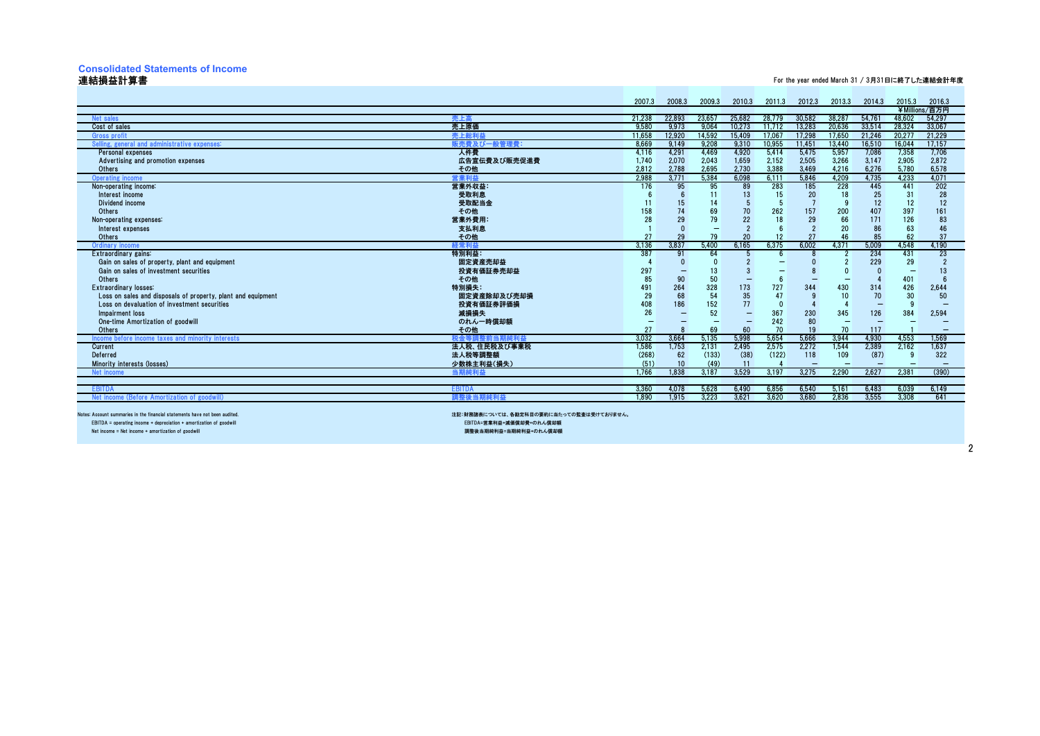## **Consolidated Statements of Income**

#### 連結損益計算書

#### For the year ended March 31 / 3月31日に終了した連結会計年度

|                                                                            |                                         | 2007.3 | 2008.3     | 2009.3 | 2010.3   | 2011.3 | 2012.3 | 2013.3                   | 2014.3 | 2015.3 | 2016.3        |
|----------------------------------------------------------------------------|-----------------------------------------|--------|------------|--------|----------|--------|--------|--------------------------|--------|--------|---------------|
|                                                                            |                                         |        |            |        |          |        |        |                          |        |        | ¥Millions/百万円 |
| Net sales                                                                  | 売上 高                                    | 21.238 | 22.893     | 23.657 | 25,682   | 28.779 | 30.582 | 38,287                   | 54,761 | 48.602 | 54.297        |
| Cost of sales                                                              | 売上原価                                    | 9,580  | 9,973      | 9,064  | 10,273   | 11.712 | 13,283 | 20,636                   | 33,514 | 28,324 | 33,067        |
| Gross profi                                                                | 売上総利益                                   | 11.658 | 12.920     | 14,592 | 15.409   | 17.067 | 17.298 | 17.650                   | 21.246 | 20.277 | 21,229        |
| Selling, general and administrative expenses                               | 反売費及び一般管理費                              | 8.669  | 9.149      | 9.208  | 9,310    | 10,955 | 11,451 | 13,440                   | 16,510 | 16,044 | 17,157        |
| Personal expenses                                                          | 人件費                                     | 4,116  | 4,291      | 4,469  | 4,920    | 5,414  | 5,475  | 5,957                    | 7,086  | 7,358  | 7,706         |
| Advertising and promotion expenses                                         | 広告宣伝費及び販売促進費                            | 1,740  | 2,070      | 2,043  | 1,659    | 2,152  | 2,505  | 3,266                    | 3,147  | 2,905  | 2,872         |
| <b>Others</b>                                                              | その他                                     | 2.812  | 2.788      | 2.695  | 2.730    | 3.388  | 3.469  | 4.216                    | 6.276  | 5.780  | 6.578         |
| <b>Operating income</b>                                                    | 主業利益                                    | 2.988  | 3.771      | 5.384  | 6.098    | 6.111  | 5.846  | 4.209                    | 4.735  | 4.233  | 4.071         |
| Non-operating income:                                                      | 営業外収益:                                  | 176    | 95         | 95     | 89       | 283    | 185    | 228                      | 445    | 441    | 202           |
| Interest income                                                            | 受取利息                                    |        |            | 11     | 13       | 15     | 20     | 18                       | 25     | 31     | 28            |
| Dividend income                                                            | 受取配当金                                   |        | 15         |        |          |        |        |                          | 12     | 12     | 12            |
| Others                                                                     | その他                                     | 158    | 74         | 69     | 70       | 262    | 157    | 200                      | 407    | 397    | 161           |
| Non-operating expenses:                                                    | 営業外費用                                   |        | 29         | 79     | 22       |        | 29     | 66                       | 171    | 126    | 83            |
| Interest expenses                                                          | 支払利息                                    |        | $\sqrt{ }$ |        | $\Omega$ |        |        | 20                       | 86     | 63     | 46            |
| <b>Others</b>                                                              | その他                                     | 27     | 29         | 79     | 20       |        | 27     | 46                       | 85     | 62     | 37            |
| <b>Ordinary income</b>                                                     | 释常利益                                    | 3.136  | 3.837      | 5.400  | 6.165    | 6.375  | 6.002  | 4,371                    | 5.009  | 4,548  | 4.190         |
| Extraordinary gains:                                                       | 特別利益:                                   | 387    | 91         | 64     |          |        |        |                          | 234    | 431    | 23            |
| Gain on sales of property, plant and equipment                             | 固定資産売却益                                 |        |            |        |          |        |        |                          | 229    | 29     |               |
| Gain on sales of investment securities                                     | 投資有価証券売却益                               | 297    |            |        |          |        |        |                          |        |        | 13            |
| Others                                                                     | その他                                     | 85     | 90         | 50     |          |        |        |                          |        | 401    |               |
| <b>Extraordinary losses:</b>                                               | 特別損失:                                   | 491    | 264        | 328    | 173      | 727    | 344    | 430                      | 314    | 426    | 2,644         |
| Loss on sales and disposals of property, plant and equipment               | 固定資産除却及び売却損                             | 29     | 68         | 54     | 35       | 47     |        | 10                       | 70     | 30     | 50            |
| Loss on devaluation of investment securities                               | 投資有価証券評価損                               | 408    | 186        | 152    | 77       |        |        |                          |        |        |               |
| Impairment loss                                                            | 減損損失                                    | 26     |            | 52     |          | 367    | 230    | 345                      | 126    | 384    | 2,594         |
| One-time Amortization of goodwill                                          | のれん一時償却額                                |        |            |        |          | 242    | 80     |                          |        |        |               |
| <b>Others</b>                                                              | その他                                     | 27     |            | 69     | 60       | 70     | 19     | 70                       | 117    |        |               |
| Income before income taxes and minority interests                          | 税金等調整前当期純利益                             | 3.032  | 3.664      | 5.135  | 5.998    | 5.654  | 5.666  | 3,944                    | 4.930  | 4,553  | 1.569         |
| Current                                                                    | 法人税、住民税及び事業税                            | 1,586  | 1,753      | 2,131  | 2,495    | 2,575  | 2,272  | 1,544                    | 2,389  | 2,162  | 1,637         |
| Deferred                                                                   | 法人税等調整額                                 | (268)  | 62         | (133)  | (38)     | (122)  | 118    | 109                      | (87)   |        | 322           |
| Minority interests (losses)                                                | 少数株主利益(損失)                              | (51)   | 10         | (49)   |          |        |        | $\overline{\phantom{0}}$ |        |        | -             |
| Net income                                                                 |                                         | 1.766  | 1.838      | 3.187  | 3.529    | 3.197  | 3.275  | 2.290                    | 2.627  | 2.381  | (390)         |
|                                                                            |                                         |        |            |        |          |        |        |                          |        |        |               |
| <b>EBITDA</b>                                                              | <b>EBITDA</b>                           | 3.360  | 4.078      | 5,628  | 6,490    | 6,856  | 6,540  | 5,161                    | 6,483  | 6,039  | 6,149         |
| Net income (Before Amortization of goodwill                                | 調整後当期純利益                                | 1.890  | 1.915      | 3,223  | 3,621    | 3.620  | 3.680  | 2,836                    | 3,555  | 3,308  | 641           |
|                                                                            |                                         |        |            |        |          |        |        |                          |        |        |               |
| Notes: Account summaries in the financial statements have not been audited | 注記:財務諸表については、各勘定科目の要約に当たっての監査は受けておりません。 |        |            |        |          |        |        |                          |        |        |               |
| EBITDA = operating income + depreciation + amortization of goodwill        | EBITDA=営業利益+減価償却費+のれん償却額                |        |            |        |          |        |        |                          |        |        |               |

Net income = Net income + amortization of goodwill

調整後当期純利益=当期純利益+のれん償却額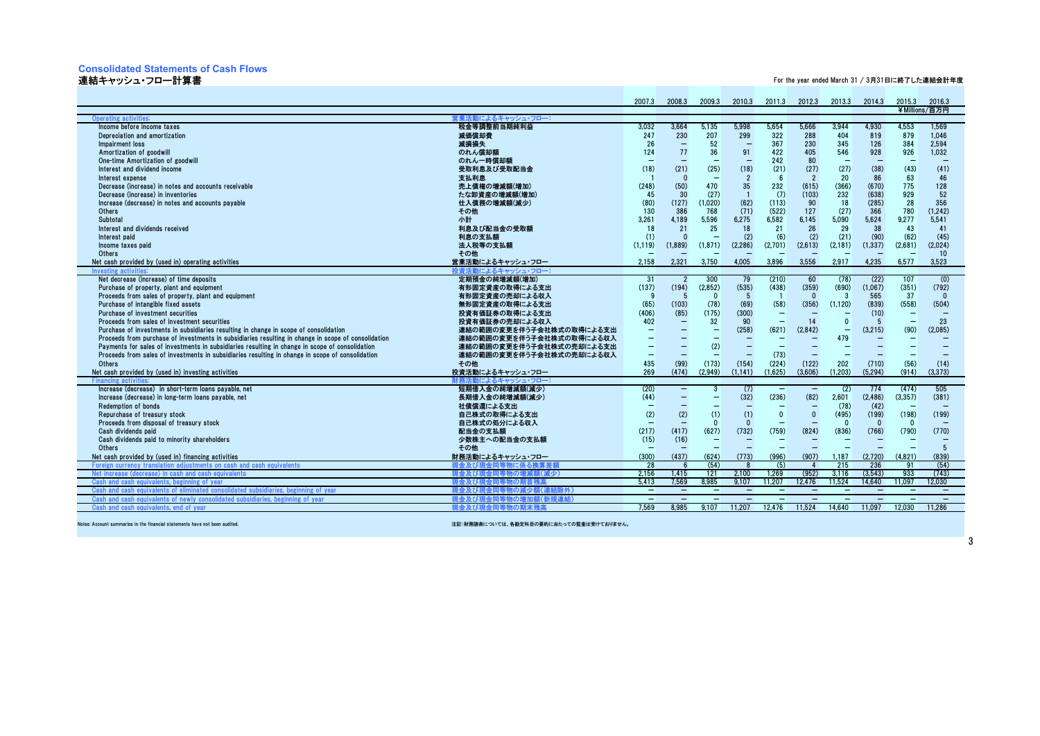#### **Consolidated Statements of Cash Flows**

#### 連結キャッシュ・フロー計算書

For the year ended March 31 / 3月31日に終了した連結会計年度

|                                                                                                     |                              | 2007.3                           | 2008.3                   | 2009.3                            | 2010.3                            |                          | 2011.3 2012.3                            | 2013.3            | 2014.3                   | 2015.3                   | 2016.3<br>¥Millions/百万円  |
|-----------------------------------------------------------------------------------------------------|------------------------------|----------------------------------|--------------------------|-----------------------------------|-----------------------------------|--------------------------|------------------------------------------|-------------------|--------------------------|--------------------------|--------------------------|
| <b>Operating activities</b>                                                                         | 営業活動によるキャッシュ・フロー:            |                                  |                          |                                   |                                   |                          |                                          |                   |                          |                          |                          |
| Income before income taxes                                                                          | 税金等調整前当期純利益                  | 3.032                            | 3.664                    | 5.135                             | 5.998                             | 5.654                    | 5.666                                    | 3.944             | 4.930                    | 4.553                    | 1.569                    |
| Depreciation and amortization                                                                       | 減価償却費                        | 247                              | 230                      | 207                               | 299                               | 322                      | 288                                      | 404               | 819                      | 879                      | 1.046                    |
| Impairment loss                                                                                     | 減損損失                         | 26                               | $\overline{\phantom{0}}$ | 52                                | $\qquad \qquad -$                 | 367                      | 230                                      | 345               | 126                      | 384                      | 2,594                    |
| Amortization of goodwill                                                                            | のれん償却額                       | 124                              | 77                       | 36                                | 91                                | 422                      | 405                                      | 546               | 928                      | 926                      | 1,032                    |
| One-time Amortization of goodwill                                                                   | のれん一時償却額                     | $\equiv$                         |                          | $\overline{\phantom{0}}$          | $\overline{\phantom{m}}$          | 242                      | 80                                       | $\sim$            | $\overline{\phantom{0}}$ | $\sim$                   |                          |
| Interest and dividend income                                                                        | 受取利息及び受取配当金                  | (18)                             | (21)                     | (25)                              | (18)                              | (21)                     | (27)                                     | (27)              | (38)                     | (43)                     | (41)                     |
| Interest expense                                                                                    | 支払利息                         |                                  | $\Omega$                 |                                   | $\overline{2}$                    | 6                        | $\overline{2}$                           | 20                | 86                       | 63                       | 46                       |
| Decrease (increase) in notes and accounts receivable                                                | 売上債権の増減額(増加)                 | (248)                            | (50)                     | 470                               | 35                                | 232                      | (615)                                    | (366)             | (670)                    | 775                      | 128                      |
| Decrease (increase) in inventories                                                                  | たな卸資産の増減額(増加)                | 45                               | 30                       | (27)                              |                                   | (7)                      | (103)                                    | 232               | (638)                    | 929                      | 52                       |
| Increase (decrease) in notes and accounts payable                                                   | 仕入債務の増減額(減少)                 | (80)                             | (127)                    | (1,020)                           | (62)                              | (113)                    | 90                                       | 18                | (285)                    | 28                       | 356                      |
| Others                                                                                              | その他                          | 130                              | 386                      | 768                               | (71)                              | (522)                    | 127                                      | (27)              | 366                      | 780                      | (1,242)                  |
| Subtotal                                                                                            | 小計                           | 3.261                            | 4.189                    | 5.596                             | 6,275                             | 6.582                    | 6.145                                    | 5.090             | 5.624                    | 9.277                    | 5.541                    |
| Interest and dividends received                                                                     | 利息及び配当金の受取額                  | 18                               | 21                       | 25                                | 18                                | 21                       | 26                                       | 29                | 38                       | 43                       | 41                       |
| Interest paid                                                                                       | 利息の支払額                       | (1)                              | $\Omega$                 |                                   | (2)                               | (6)                      | (2)                                      | (21)              | (90)                     | (62)                     | (45)                     |
| Income taxes paid                                                                                   | 法人税等の支払額                     | (1.119)                          | (1.889)                  | (1.871)                           | (2,286)                           | (2,701)                  | (2,613)                                  | (2, 181)          | (1, 337)                 | (2,681)                  | (2.024)                  |
| <b>Others</b>                                                                                       | その他                          | -                                |                          |                                   |                                   |                          | $\overline{\phantom{0}}$                 |                   |                          | $\overline{\phantom{0}}$ | 10 <sup>10</sup>         |
| Net cash provided by (used in) operating activities                                                 | 営業活動によるキャッシュ・フロー             | 2,158                            | 2,321                    | 3,750                             | 4,005                             | 3,896                    | 3,556                                    | 2,917             | 4,235                    | 6,577                    | 3,523                    |
| <b>Investing activi</b>                                                                             | 投資活動によるキャッシュ・フロー             |                                  |                          |                                   |                                   |                          |                                          |                   |                          |                          |                          |
| Net decrease (increase) of time deposits                                                            | 定期預金の純増減額(増加)                | 31                               | $\overline{2}$           | 300                               | 79                                | (210)                    | 60                                       | (78)              | (22)                     | 107                      | (0)                      |
| Purchase of property, plant and equipment                                                           | 有形固定資産の取得による支出               | (137)                            | (194)                    | (2,852)                           | (535)                             | (438)                    | (359)                                    | (690)             | (1,067)                  | (351)                    | (792)                    |
| Proceeds from sales of property, plant and equipment                                                | 有形固定資産の売却による収入               | - 9                              | 5                        | $\Omega$                          | - 5                               |                          | $\Omega$                                 | $\overline{3}$    | 565                      | 37                       | $\Omega$                 |
| Purchase of intangible fixed assets                                                                 | 無形固定資産の取得による支出               | (65)                             | (103)                    | (78)                              | (69)                              | (58)                     | (356)                                    | (1, 120)          | (839)                    | (558)                    | (504)                    |
| Purchase of investment securities                                                                   | 投資有価証券の取得による支出               | (406)                            | (85)                     | (175)                             | (300)                             | $\qquad \qquad -$        |                                          |                   | (10)                     | $\overline{\phantom{0}}$ |                          |
| Proceeds from sales of investment securities                                                        | 投資有価証券の売却による収入               | 402                              | $\qquad \qquad -$        | 32                                | 90                                | $\overline{\phantom{0}}$ | 14                                       | $\Omega$          | 5                        | $\qquad \qquad -$        | 23                       |
| Purchase of investments in subsidiaries resulting in change in scope of consolidation               | 連結の範囲の変更を伴う子会社株式の取得による支出     | $\qquad \qquad -$                |                          | $\overline{\phantom{m}}$          | (258)                             | (621)                    | (2,842)                                  | $\qquad \qquad -$ | (3,215)                  | (90)                     | (2,085)                  |
| Proceeds from purchase of investments in subsidiaries resulting in change in scope of consolidation | 連結の範囲の変更を伴う子会社株式の取得による収入     | $\overline{\phantom{0}}$         |                          | $\overline{\phantom{0}}$          |                                   |                          |                                          | 479               |                          |                          |                          |
| Payments for sales of investments in subsidiaries resulting in change in scope of consolidation     | 連結の範囲の変更を伴う子会社株式の売却による支出     | -                                |                          | (2)                               | $\qquad \qquad -$                 | $\overline{\phantom{m}}$ |                                          |                   | $\overline{\phantom{0}}$ |                          |                          |
| Proceeds from sales of investments in subsidiaries resulting in change in scope of consolidation    | 連結の範囲の変更を伴う子会社株式の売却による収入     | $\qquad \qquad -$                |                          | $\overline{\phantom{0}}$          | $\qquad \qquad -$                 | (73)                     | $\overline{\phantom{0}}$                 |                   | $\overline{\phantom{0}}$ |                          |                          |
| Others                                                                                              | その他                          | 435                              | (99)                     | (173)                             | (154)                             | (224)                    | (122)                                    | 202               | (710)                    | (56)                     | (14)                     |
| Net cash provided by (used in) investing activities                                                 | 投資活動によるキャッシュ・フロー             | 269                              | (474)                    | (2,949)                           | (1, 141)                          | (1,625)                  | (3,606)                                  | (1.203)           | (5, 294)                 | (914)                    | (3,373)                  |
| <b>Financing activities</b>                                                                         | 財務活動によるキャッシュ・フロー             |                                  |                          |                                   |                                   |                          |                                          |                   |                          |                          |                          |
| Increase (decrease) in short-term loans pavable, net                                                | 短期借入金の純増減額(減少)               | (20)                             | $\qquad \qquad -$        | 3                                 | (7)                               |                          | $\qquad \qquad -$                        | (2)               | 774                      | (474)                    | 505                      |
| Increase (decrease) in long-term loans pavable, net                                                 | 長期借入金の純増減額(減少)               | (44)                             |                          | $\overline{\phantom{0}}$          | (32)                              | (236)                    | (82)                                     | 2.601             | (2.486)                  | (3, 357)                 | (381)                    |
| <b>Redemption of bonds</b>                                                                          | 社債償還による支出                    |                                  |                          |                                   |                                   |                          | $\qquad \qquad -$                        | (78)              | (42)                     |                          |                          |
| Repurchase of treasury stock                                                                        | 自己株式の取得による支出                 | (2)<br>$\overline{\phantom{0}}$  | (2)                      | (1)<br>$\Omega$                   | (1)<br>$\Omega$                   | $\Omega$                 | $\mathbf{0}$<br>$\overline{\phantom{0}}$ | (495)<br>$\Omega$ | (199)<br>$\Omega$        | (198)                    | (199)                    |
| Proceeds from disposal of treasury stock                                                            | 自己株式の処分による収入                 |                                  |                          |                                   |                                   |                          |                                          |                   |                          | $\Omega$                 |                          |
| Cash dividends paid<br>Cash dividends paid to minority shareholders                                 | 配当金の支払額                      | (217)                            | (417)<br>(16)            | (627)<br>$\overline{\phantom{0}}$ | (732)<br>$\overline{\phantom{0}}$ | (759)                    | (824)                                    | (836)             | (766)                    | (790)                    | (770)                    |
| Others                                                                                              | 少数株主への配当金の支払額<br>その他         | (15)<br>$\overline{\phantom{0}}$ |                          |                                   |                                   |                          | $\overline{\phantom{0}}$                 |                   | -                        |                          | $5\overline{5}$          |
| Net cash provided by (used in) financing activities                                                 | 財務活動によるキャッシュ・フロー             | (300)                            | (437)                    | (624)                             | (773)                             | (996)                    | (907)                                    | 1.187             | (2,720)                  | (4,821)                  | (839)                    |
| Foreign currency translation adjustments on cash and cash equivalents                               | 現金 及びほ                       | 28                               |                          | (54)                              |                                   | (5)                      |                                          | 215               | 236                      | 91                       | (54)                     |
| Net increase (decrease) in cash and cash equivalents                                                | 現金及び現金<br><b>配合</b><br>勿の増減系 | 2.156                            | 1.415                    | 121                               | 2.100                             | 1.269                    | (952)                                    | 3.116             | (3.543)                  | 933                      | (743)                    |
| Cash and cash equivalents, beginning of year                                                        | 日余 及 びぼ                      | 5.413                            | 7.569                    | 8.985                             | 9.107                             | 11.207                   | 12.476                                   | 11.524            | 14.640                   | 11.097                   | 12.030                   |
| Cash and cash<br>anivalents of e<br>dated subs<br>ing of vear                                       | 現金 及び田                       | $\qquad \qquad -$                | $\overline{\phantom{m}}$ | $\qquad \qquad -$                 | $\overline{\phantom{m}}$          | $\overline{\phantom{a}}$ | $\overline{\phantom{0}}$                 | $\sim$            | $\qquad \qquad -$        | $\overline{\phantom{0}}$ | $\overline{\phantom{m}}$ |
| Cash and cash equivalents of newly cons<br>dated subsidiaries, beginn<br>ng of vear                 | 現金及び現<br>(新規道<br>物の増加        | $\equiv$                         |                          |                                   |                                   |                          |                                          |                   |                          |                          |                          |
| Cash and cash equivalents, end of vear                                                              | 現金及び現金 <br>司等物の期末残;          | 7.569                            | 8.985                    | 9.107                             | 11.207                            | 12.476                   | 11.524                                   | 14.640            | 11.097                   | 12.030                   | 11.286                   |
|                                                                                                     |                              |                                  |                          |                                   |                                   |                          |                                          |                   |                          |                          |                          |

Notes: Account summaries in the financial statements have not been audited.

注記:財務諸表については、各勘定科目の要約に当たっての監査は受けておりません。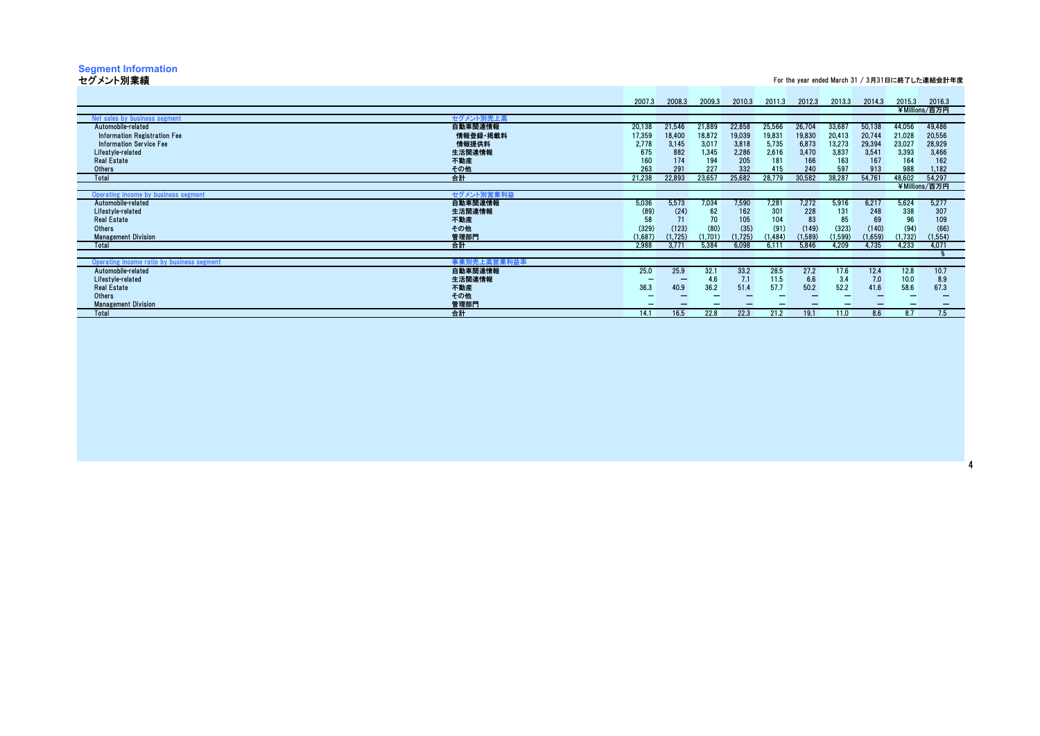# **Segment Information** セグメント別業績

For the year ended March 31 / 3月31日に終了した連結会計年度

|                                                           | 2007.3  | 2008.3   | 2009.3  | 2010.3   | 2011.3  | 2012.3  | 2013.3  | 2014.3  | 2015.3  | 2016.3        |
|-----------------------------------------------------------|---------|----------|---------|----------|---------|---------|---------|---------|---------|---------------|
|                                                           |         |          |         |          |         |         |         |         |         | ¥Millions/百万円 |
| セグメント別売上高<br>Net sales by business segment                |         |          |         |          |         |         |         |         |         |               |
| 自動車関連情報<br>Automobile-related                             | 20,138  | 21,546   | 21,889  | 22,858   | 25,566  | 26,704  | 33,687  | 50,138  | 44,056  | 49,486        |
| 情報登録·掲載料<br>Information Registration Fee                  | 17,359  | 18,400   | 18,872  | 19,039   | 19.831  | 19,830  | 20,413  | 20,744  | 21.028  | 20,556        |
| 情報提供料<br><b>Information Service Fee</b>                   | 2.778   | 3.145    | 3,017   | 3,818    | 5,735   | 6,873   | 13,273  | 29,394  | 23,027  | 28,929        |
| 生活関連情報<br>Lifestyle-related                               | 675     | 882      | 1,345   | 2,286    | 2,616   | 3,470   | 3,837   | 3,541   | 3,393   | 3,466         |
| <b>Real Estate</b><br>不動産                                 | 160     | 174      | 194     | 205      | 181     | 166     | 163     | 167     | 164     | 162           |
| その他<br><b>Others</b>                                      | 263     | 291      | 227     | 332      | 415     | 240     | 597     | 913     | 988     | 1.182         |
| 合計<br>Total                                               | 21,238  | 22,893   | 23,657  | 25,682   | 28,779  | 30,582  | 38,287  | 54,761  | 48,602  | 54.297        |
|                                                           |         |          |         |          |         |         |         |         |         | ¥Millions/百万円 |
| セグメント別営業利益<br>Operating income by business segment        |         |          |         |          |         |         |         |         |         |               |
| 自動車関連情報<br>Automobile-related                             | 5,036   | 5.573    | 7,034   | 7,590    | 7,281   | 7.272   | 5,916   | 6,217   | 5,624   | 5,277         |
| Lifestyle-related<br>生活関連情報                               | (89)    | (24)     | 62      | 162      | 301     | 228     | 131     | 248     | 338     | 307           |
| <b>Real Estate</b>                                        | 58      |          | 70      | 105      | 104     | 83      | 85      | 69      | 96      | 109           |
| 不動産<br>Others                                             | (329)   | (123)    | (80)    | (35)     | (91)    | (149)   | (323)   |         | (94)    | (66)          |
| その他                                                       |         |          |         |          |         |         |         | (140)   |         |               |
| 管理部門<br><b>Management Division</b>                        | (1,687) | (1, 725) | (1,701) | (1, 725) | (1.484) | (1,589) | (1,599) | (1,659) | (1.732) | (1,554)       |
| 合計<br>Total                                               | 2,988   | 3,771    | 5,384   | 6,098    | 6,111   | 5,846   | 4,209   | 4,735   | 4,233   | 4,071         |
|                                                           |         |          |         |          |         |         |         |         |         |               |
| 事業別売上高営業利益率<br>Operating income ratio by business segment |         |          |         |          |         |         |         |         |         |               |
| 自動車関連情報<br>Automobile-related                             | 25.0    | 25.9     | 32.1    | 33.2     | 28.5    | 27.2    | 17.6    | 12.4    | 12.8    | 10.7          |
| Lifestyle-related<br>生活関連情報                               |         |          | 4.6     | 7.1      | 11.5    | 6.6     | 3.4     | 7.0     | 10.0    | 8.9           |
| <b>Real Estate</b><br>不動産                                 | 36.3    | 40.9     | 36.2    | 51.4     | 57.7    | 50.2    | 52.2    | 41.6    | 58.6    | 67.3          |
| その他<br>Others                                             |         |          |         |          |         |         |         |         |         |               |
| 管理部門<br><b>Management Division</b>                        |         |          |         |          |         |         |         |         |         |               |
| 合計<br>Total                                               | 14.1    | 16.5     | 22.8    | 22.3     | 21.2    | 19.1    | 11.0    | 8.6     | 8.7     | 7.5           |
|                                                           |         |          |         |          |         |         |         |         |         |               |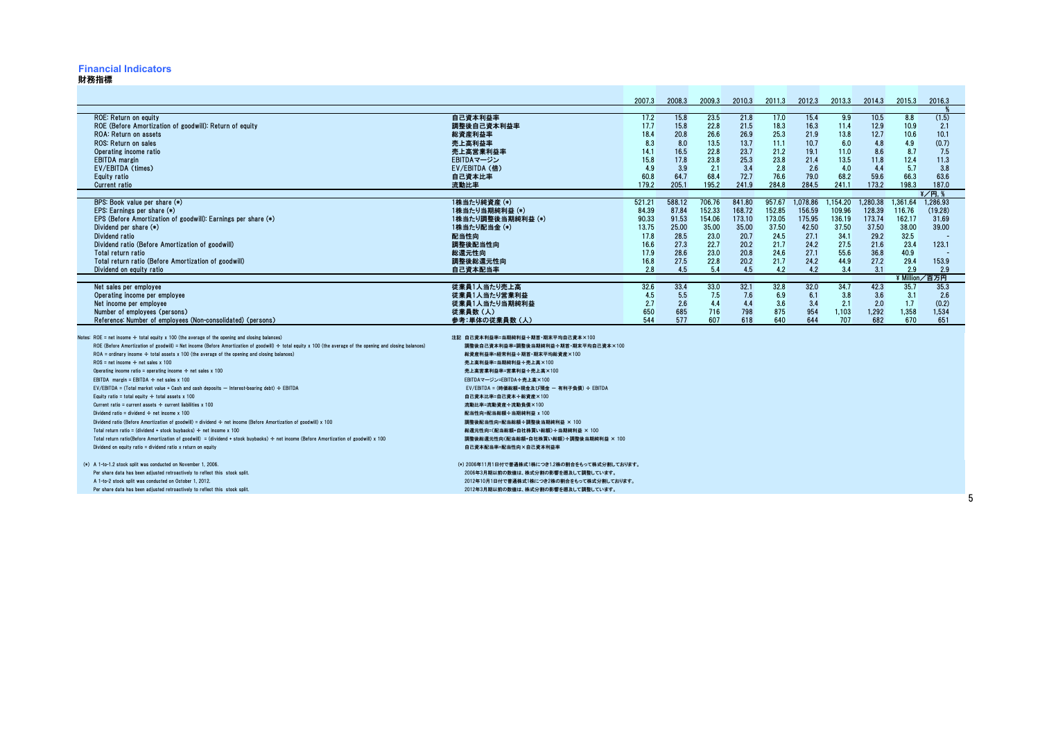#### **Financial Indicators**

#### 財務指標

|                                                                                                                                                                                                          |                                                               | 2007.3        | 2008.3        | 2009.3          | 2010.3        | 2011.3        | 2012.3        | 2013.3        | 2014.3        | 2015.3        | 2016.3               |  |
|----------------------------------------------------------------------------------------------------------------------------------------------------------------------------------------------------------|---------------------------------------------------------------|---------------|---------------|-----------------|---------------|---------------|---------------|---------------|---------------|---------------|----------------------|--|
| <b>ROE: Return on equity</b><br>ROE (Before Amortization of goodwill): Return of equity                                                                                                                  | 自己資本利益率<br>調整後自己資本利益率                                         | 17.2<br>17.7  | 15.8<br>15.8  | 23.5<br>22.8    | 21.8<br>21.5  | 17.0<br>18.3  | 15.4<br>16.3  | 9.9<br>11.4   | 10.5<br>12.9  | 8.8<br>10.9   | (1.5)<br>2.1         |  |
| <b>ROA: Return on assets</b>                                                                                                                                                                             | 総資産利益率                                                        | 18.4          | 20.8          | 26.6            | 26.9          | 25.3          | 21.9          | 13.8          | 12.7          | 10.6          | 10.1                 |  |
| ROS: Return on sales                                                                                                                                                                                     | 売上高利益率                                                        | 8.3           | 8.0           | 13.5            | 13.7          | 11.1          | 10.7          | 6.0           | 4.8           | 4.9           | (0.7)                |  |
| Operating income ratio                                                                                                                                                                                   | 売上高営業利益率                                                      | 14.1          | 16.5          | 22.8            | 23.7          | 21.2          | 19.1          | 11.0          | 8.6           | 8.7           | 7.5                  |  |
| <b>EBITDA</b> margin<br>EV/EBITDA (times)                                                                                                                                                                | EBITDAマージン<br>EV/EBITDA (倍)                                   | 15.8<br>4.9   | 17.8<br>3.9   | 23.8<br>2.1     | 25.3<br>3.4   | 23.8<br>2.8   | 21.4<br>2.6   | 13.5<br>4.0   | 11.8<br>4.4   | 12.4<br>5.7   | 11.3<br>3.8          |  |
| Equity ratio                                                                                                                                                                                             | 自己資本比率                                                        | 60.8          | 64.7          | 68.4            | 72.7          | 76.6          | 79.0          | 68.2          | 59.6          | 66.3          | 63.6                 |  |
| <b>Current ratio</b>                                                                                                                                                                                     | 流動比率                                                          | 179.2         | 205.1         | 195.2           | 241.9         | 284.8         | 284.5         | 241.1         | 173.2         | 198.3         | 187.0                |  |
|                                                                                                                                                                                                          |                                                               |               |               |                 |               |               |               |               |               |               | $\frac{2}{7}$ / 円. 9 |  |
| BPS: Book value per share (*)                                                                                                                                                                            | 1株当たり純資産 (*)                                                  | 521.21        | 588.12        | 706.76          | 841.80        | 957.67        | 1.078.86      | 1.154.20      | 1.280.38      | 1.361.64      | 1.286.93             |  |
| EPS: Earnings per share (*)                                                                                                                                                                              | 1株当たり当期純利益 (*)                                                | 84.39         | 87.84         | 152.33          | 168.72        | 152.85        | 156.59        | 109.96        | 128.39        | 116.76        | (19.28)              |  |
| EPS (Before Amortization of goodwill): Earnings per share (*)                                                                                                                                            | 1株当たり調整後当期純利益 (*)                                             | 90.33         | 91.53         | 154.06<br>35.00 | 173.10        | 173.05        | 175.95        | 136.19        | 173.74        | 162.17        | 31.69                |  |
| Dividend per share $(*)$<br>Dividend ratio                                                                                                                                                               | 1株当たり配当金 (*)<br>配当性向                                          | 13.75<br>17.8 | 25.00<br>28.5 | 23.0            | 35.00<br>20.7 | 37.50<br>24.5 | 42.50<br>27.1 | 37.50<br>34.1 | 37.50<br>29.2 | 38.00<br>32.5 | 39.00                |  |
| Dividend ratio (Before Amortization of goodwill)                                                                                                                                                         | 調整後配当性向                                                       | 16.6          | 27.3          | 22.7            | 20.2          | 21.7          | 24.2          | 27.5          | 21.6          | 23.4          | 123.1                |  |
| Total return ratio                                                                                                                                                                                       | 総還元性向                                                         | 17.9          | 28.6          | 23.0            | 20.8          | 24.6          | 27.1          | 55.6          | 36.8          | 40.9          |                      |  |
| Total return ratio (Before Amortization of goodwill)                                                                                                                                                     | 調整後総還元性向                                                      | 16.8          | 27.5          | 22.8            | 20.2          | 21.7          | 24.2          | 44.9          | 27.2          | 29.4          | 153.9                |  |
| Dividend on equity ratio                                                                                                                                                                                 | 自己資本配当率                                                       | 2.8           | 4.5           | 5.4             | 4.5           | 4.2           | 4.2           | 3.4           | 3.1           | 2.9           | 2.9                  |  |
|                                                                                                                                                                                                          |                                                               |               |               |                 |               |               |               |               |               | ¥ Million.    | 百万円                  |  |
| Net sales per employee                                                                                                                                                                                   | 従業員1人当たり売上高                                                   | 32.6<br>4.5   | 33.4<br>5.5   | 33.0<br>7.5     | 32.1          | 32.8          | 32.0          | 34.7<br>3.8   | 42.3<br>3.6   | 35.7          | 35.3                 |  |
| Operating income per employee<br>Net income per employee                                                                                                                                                 | 従業員1人当たり営業利益<br>従業員1人当たり当期純利益                                 | 2.7           | 2.6           | 4.4             | 7.6<br>4.4    | 6.9<br>3.6    | 6.1<br>3.4    | 2.1           | 2.0           | 3.1<br>1.7    | 2.6<br>(0.2)         |  |
| Number of employees (persons)                                                                                                                                                                            | 従業員数(人)                                                       | 650           | 685           | 716             | 798           | 875           | 954           | 1,103         | 1,292         | 1,358         | 1,534                |  |
| Reference: Number of employees (Non-consolidated) (persons)                                                                                                                                              | 参考:単体の従業員数(人)                                                 | 544           | 577           | 607             | 618           | 640           | 644           | 707           | 682           | 670           | 651                  |  |
|                                                                                                                                                                                                          |                                                               |               |               |                 |               |               |               |               |               |               |                      |  |
| Notes: $ROE = net income \div total equity x 100 (the average of the opening and closing balances)$                                                                                                      | 注記 自己資本利益率=当期純利益÷期首·期末平均自己資本×100                              |               |               |                 |               |               |               |               |               |               |                      |  |
| ROE (Before Amortization of goodwill) = Net income (Before Amortization of goodwill) $\div$ total equity x 100 (the average of the opening and closing balances)                                         | 調整後自己資本利益率=調整後当期純利益÷期首·期末平均自己資本×100                           |               |               |                 |               |               |               |               |               |               |                      |  |
| $ROA =$ ordinary income $\div$ total assets x 100 (the average of the opening and closing balances)<br>$ROS = net income \div net sales \times 100$                                                      | 総資産利益率=経常利益÷期首·期末平均総資産×100<br>売上高利益率=当期純利益÷売上高×100            |               |               |                 |               |               |               |               |               |               |                      |  |
| Operating income ratio = operating income $\div$ net sales x 100                                                                                                                                         | 売上高営業利益率=営業利益÷売上高×100                                         |               |               |                 |               |               |               |               |               |               |                      |  |
| EBITDA margin = EBITDA $\div$ net sales x 100                                                                                                                                                            | EBITDAマージン=EBITDA÷売上高×100                                     |               |               |                 |               |               |               |               |               |               |                      |  |
| $EV/EBITDA = (Total market value + Cash and cash deposits - Interest-bearing debt) \div EBIIDA$                                                                                                          | EV/EBITDA = (時価総額+現金及び預金 - 有利子負債) ÷ EBITDA                    |               |               |                 |               |               |               |               |               |               |                      |  |
| Equity ratio = total equity $\div$ total assets x 100                                                                                                                                                    | 自己資本比率=自己資本÷総資産×100                                           |               |               |                 |               |               |               |               |               |               |                      |  |
| Current ratio = current assets $\div$ current liabilities x 100                                                                                                                                          | 流動比率=流動資産÷流動負債×100                                            |               |               |                 |               |               |               |               |               |               |                      |  |
| Dividend ratio = dividend $\div$ net income x 100                                                                                                                                                        | 配当性向=配当総額÷当期純利益 x 100                                         |               |               |                 |               |               |               |               |               |               |                      |  |
| Dividend ratio (Before Amortization of goodwill) = dividend $\div$ net income (Before Amortization of goodwill) x 100                                                                                    | 調整後配当性向=配当総額÷調整後当期純利益 × 100                                   |               |               |                 |               |               |               |               |               |               |                      |  |
| Total return ratio = (dividend + stock buybacks) $\div$ net income x 100                                                                                                                                 | 総還元性向=(配当総額+自社株買い総額)÷当期純利益 × 100                              |               |               |                 |               |               |               |               |               |               |                      |  |
| Total return ratio(Before Amortization of goodwill) = (dividend + stock buybacks) ÷ net income (Before Amortization of goodwill) x 100<br>Dividend on equity ratio = dividend ratio $x$ return on equity | 調整後総還元性向(配当総額+自社株買い総額)÷調整後当期純利益 × 100<br>自己資本配当率=配当性向×自己資本利益率 |               |               |                 |               |               |               |               |               |               |                      |  |
|                                                                                                                                                                                                          |                                                               |               |               |                 |               |               |               |               |               |               |                      |  |
| (*) A 1-to-1.2 stock split was conducted on November 1, 2006.                                                                                                                                            | (*) 2006年11月1日付で普通株式1株につき1.2株の割合をもって株式分割しております。               |               |               |                 |               |               |               |               |               |               |                      |  |
| Per share data has been adjusted retroactively to reflect this stock split.                                                                                                                              | 2006年3月期以前の数値は、株式分割の影響を遡及して調整しています。                           |               |               |                 |               |               |               |               |               |               |                      |  |
| A 1-to-2 stock split was conducted on October 1, 2012.                                                                                                                                                   | 2012年10月1日付で普通株式1株につき2株の割合をもって株式分割しております。                     |               |               |                 |               |               |               |               |               |               |                      |  |
| Per share data has been adjusted retroactively to reflect this stock split.                                                                                                                              | 2012年3月期以前の数値は、株式分割の影響を遡及して調整しています。                           |               |               |                 |               |               |               |               |               |               |                      |  |

5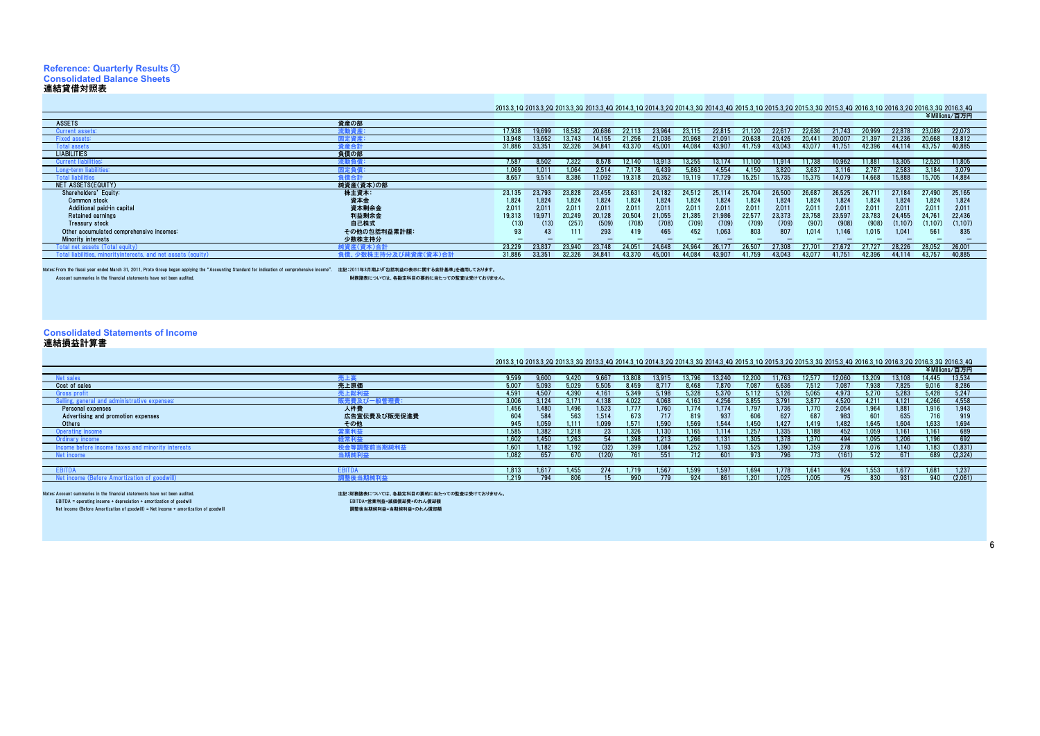# **Reference: Quarterly Results** ① **Consolidated Balance Sheets**

連結貸借対照表 As of March 31 / 3月31日現在

#### 2013.3\_1Q 2013.3\_2Q 2013.3\_3Q 2013.3\_4Q 2014.3\_1Q 2014.3\_2Q 2014.3\_3Q 2014.3\_4Q 2015.3\_1Q 2015.3\_2Q 2015.3\_3Q 2015.3\_4Q 2016.3\_1Q 2016.3\_2Q 2016.3\_3Q 2016.3\_4Q

|                                          |               |        |        |        |        |        |                |        |        |        |        |        |        |        |          |         | ¥Millions/百万円 |
|------------------------------------------|---------------|--------|--------|--------|--------|--------|----------------|--------|--------|--------|--------|--------|--------|--------|----------|---------|---------------|
| <b>ASSETS</b>                            | 資産の部          |        |        |        |        |        |                |        |        |        |        |        |        |        |          |         |               |
| Current assets:                          | <b>it動資産:</b> | 17.938 | 19 699 |        |        | 2211   |                |        |        |        | 22 R   |        |        |        |          | 23.089  | 22,073        |
| <b>Fixed assets:</b>                     | 固定資産:         | 13.948 | 13.65  |        |        |        |                |        |        |        | 20 42  |        |        |        | .236     | 20.668  | 18,812        |
| <b>Total assets</b>                      | <b>E産合計</b>   | 31.886 | 33,351 | 32,326 | 34.84  | 43.370 | 45.00          | 44.084 |        | 41.759 | 43,043 | 43.07  | 41.75  | 42.396 | 44.114   | 43.757  | 40.885        |
| <b>LIABILITIES</b>                       | 負債の部          |        |        |        |        |        |                |        |        |        |        |        |        |        |          |         |               |
| <b>Current liabilities</b>               | 在動負作          | 7.587  | 8.502  | '.322  | 8.578  | 12 140 | 13.913         | 13.255 | 13 17  | 11.100 | 11914  | 11.738 | 10.962 | 11 88  | 13.305   | 12.520  | 11.805        |
| ong-term                                 | 1定負           | 1.069  | 1.011  | .064   | 2.514  |        | : 439          | 5. RG  |        | . 150  |        | l 63   |        |        | 2.58     | 3.184   | 3.079         |
| intal liahilities                        |               | 8.657  | 9.514  | 386    |        |        | $0.35^{\circ}$ | ) 11 ( |        | 5,25   | 15 73. |        | 14.079 | 14 66  | 15,888   | 5.705   | 14,884        |
| NET ASSETS(EQUITY)                       | 純資産(資本)の部     |        |        |        |        |        |                |        |        |        |        |        |        |        |          |         |               |
| Shareholders' Equity:                    | 株主資本:         | 23.135 | 23,793 | 23.828 | 23.455 | 23.631 | 24.182         | 24.517 | 25.114 | 25.704 | 26,500 | 26.68  | 26.52  | 26.71  | 27.184   | 27.490  | 25.165        |
| Common stock                             | 資本金           | 1,824  | 1.824  | 1,824  | 1,824  | 1.824  | 1,824          | 1,824  | 1.824  | 1,824  | 1.824  | 1,824  | 1.824  | 1.824  | 1.824    | 1.824   | 1.824         |
| Additional paid-in capital               | 資本剰余金         | 2,011  | 2.011  | 2.011  | 2,011  | 2.011  | 2.011          | 2.01   | 2.011  | 2.011  | 2,011  | 2.011  | 2,011  | 2.011  | 2.011    | 2.011   | 2,011         |
| <b>Retained earnings</b>                 | 利益剰余金         | 19,313 | 19,971 | 20.249 | 20.128 | 20.504 | 21.055         | 21,385 | 21.986 | 22.57  | 23,373 | 23.758 | 23,597 | 23.783 | 24.455   | 24.761  | 22,436        |
| Treasury stock                           | 自己株式          | (13)   | (13)   | (257)  | (509)  | (708)  | (708)          | (709)  | (709)  | (709)  | (709)  | (907)  | (908)  | (908)  | (1, 107) | (1.107) | (1,107)       |
| Other accumulated comprehensive incomes: | その他の包括利益累計額:  | 93     |        | 111    | 293    | 419    | 465            | 452    | 1,063  | 803    |        | 1.014  | 1.146  | 1.015  | 1.041    | 561     | 835           |
| <b>Minority interests</b>                | 少数株主持分        |        |        |        |        |        |                |        |        |        |        |        |        |        |          |         |               |
| l net :                                  | 資産(資本)合計      | 23.229 | 23.83  | 23,940 | 23,748 | 24.05  | 24.648         | 24.96  | 26.17  | 26.50  | 27.308 | 70 מ   |        |        | 28.226   | 28,052  | 26,001        |
| and net assats<br>(equit)                |               | 31,886 | 33.351 | 32,326 | 34.841 | 43.370 | 45.00          | 44.084 | 43.90  | 41.759 | 43.043 | 43.07  | 41.75  | 42.396 | 44.114   | 43.757  | 40,885        |
|                                          |               |        |        |        |        |        |                |        |        |        |        |        |        |        |          |         |               |

Notes: From the fiscal year ended March 31, 2011, Proto Group began applying the "Accounting Standard for indication of comprehensive income". 注記:2011年3月期より「包括為利益の表示に関する会計基準」を適用しておりませ<br>Account summaries in the financial s

- Account summaries have not been audited. have not been audited. リストル おりません。<br>- 財務諸表については、各勘定科目の要約に当たっての監査は受けておりません。

## **Consolidated Statements of Income** 連結損益計算書

| 連結損益計算書                                            |              |                                                                                                                                                                           |       |       |       |        |        |        |        |        |        |                    |        |        |        |                |               |
|----------------------------------------------------|--------------|---------------------------------------------------------------------------------------------------------------------------------------------------------------------------|-------|-------|-------|--------|--------|--------|--------|--------|--------|--------------------|--------|--------|--------|----------------|---------------|
|                                                    |              |                                                                                                                                                                           |       |       |       |        |        |        |        |        |        |                    |        |        |        |                |               |
|                                                    |              | 2013.3 10 2013.3 20 2013.3 30 2013.3 40 2014.3 10 2014.3 20 2014.3 30 2014.3 40 2015.3 10 2015.3 20 2015.3 30 2015.3 40 2016.3 10 2016.3 20 2016.3 20 2016.3 30 2016.3 30 |       |       |       |        |        |        |        |        |        |                    |        |        |        |                |               |
|                                                    |              |                                                                                                                                                                           |       |       |       |        |        |        |        |        |        |                    |        |        |        |                | ¥Millions/百万円 |
| Net sales                                          |              | 9.599                                                                                                                                                                     | 9.60C | 9.420 | 9.667 | 13.808 | 13 91! | 13.796 | 13 240 | 12,200 | 11.763 | 12.57 <sub>h</sub> | 12.060 | 13.209 | 13.108 | 14.445         | 13.534        |
| Cost of sales                                      | 売上原価         |                                                                                                                                                                           | 5.093 | 029   | 5.505 | : 459  |        | 468    |        |        | 5.631  |                    |        | 938    | 1.825  | 9.016          | 8,286         |
| <b>Gross profit</b>                                | <b>記上総利益</b> | 4.59                                                                                                                                                                      | 4.507 | .390  | 4.16  | 5.349  | 5.198  | 5.328  |        | 5.112  | 5.126  |                    | 4.973  | 5.270  | 5.283  | 5.428          | 5.247         |
| I and administrative expenses:<br>Selling, general | 管理費          | 3.006                                                                                                                                                                     | 3.124 |       | 4.138 | .022   | 068    | 163    | 1.256  | 3.855  | } 79   | .877               | 4.520  | 4.211  | 4.121  | 4.266          | 4.558         |
| Personal expenses                                  | 人件費          | 1.456                                                                                                                                                                     | 1.480 | 1.496 | 1.523 |        | .760   | 1.774  | 1.774  | 1.79   | .736   | .770               | 2.054  | 1.964  | 1.881  | 1.916          | 1.943         |
| Advertising and promotion expenses                 | 広告宣伝費及び販売促進費 | 604                                                                                                                                                                       | 584   | 563   | 1.514 | 673    | 717    | 819    | 937    | 606    | 627    | 687                | 983    |        | 635    | 716            | 919           |
| Others                                             | その他          | 945                                                                                                                                                                       | 1.059 | 1.111 | 1.099 | 1.571  | 1.590  | 1.569  | 1.544  | 1.450  | 1.427  | 1.419              | 1.482  | 1.645  | 1.604  | 1,633          | 1,694         |
| <b>Operating income</b>                            | 『業利益』        | 1.585                                                                                                                                                                     | 1.382 | 1.218 |       | 1.326  | 1.130  | .165   | 114    | 1.25   | .335   | .188               | 452    | .059   | 1.161  | $1.16^{\circ}$ | 689           |
| Jrdinary income                                    | :常利益         | 1.602                                                                                                                                                                     | 1.450 | 1.263 |       | .398   | 1.213  | .266   | 131    | 1.305  | 1.378  | 1.370              | 494    | 095    | 1.206  | 1.196          | 692           |
| Inority I                                          |              | $1.60^{\circ}$                                                                                                                                                            | 1.182 | .192  | 632.  | .399   | 1.084  | .252   | 193    | 1.525  | .39    | .359               |        |        | .140   | .183           | (1, 831)      |
| Net income                                         |              | 1.082                                                                                                                                                                     | 651   | 670   |       |        | 551    |        |        | 973    |        |                    | (161)  |        |        | 689            | (2, 324)      |
|                                                    |              |                                                                                                                                                                           |       |       |       |        |        |        |        |        |        |                    |        |        |        |                |               |
| <b>COLUM</b>                                       |              | 1.813                                                                                                                                                                     | 1.617 | 1.455 | 774   | 1.719  | 1.567  | .599   | 1.597  | 1.694  | 1.778  | 1.64 <sup>1</sup>  | 924    | 1.553  | 1.67   | 1.681          | 1.237         |
| income (Before Amortization of goodwil             | ⊿純利梦         | 1.219                                                                                                                                                                     | 794   | 806   |       | 990    |        | 924    | 861    | 1.20   | 1.025  | .005               |        | 830    | 931    | 940            | (2,061)       |
|                                                    |              |                                                                                                                                                                           |       |       |       |        |        |        |        |        |        |                    |        |        |        |                |               |

Notes: Account summaries in the financial statements have not been audited.

EBITDA = operating income + depreciation + amortization of goodwill<br>Net income (Before Amortization of goodwill) = Net income + amortization of goodwill

注記:財務諸表については、各勘定科目の要約に当たっての監査は受けておりません。<br>-<br>- EBITDA=営業利益・減価償却費+のれん償却額

- LDITDA= 昌米刊亜・原画真型員 ・ツィレル真型<del>画</del><br>調整後当期純利益=当期純利益+のれん償却額